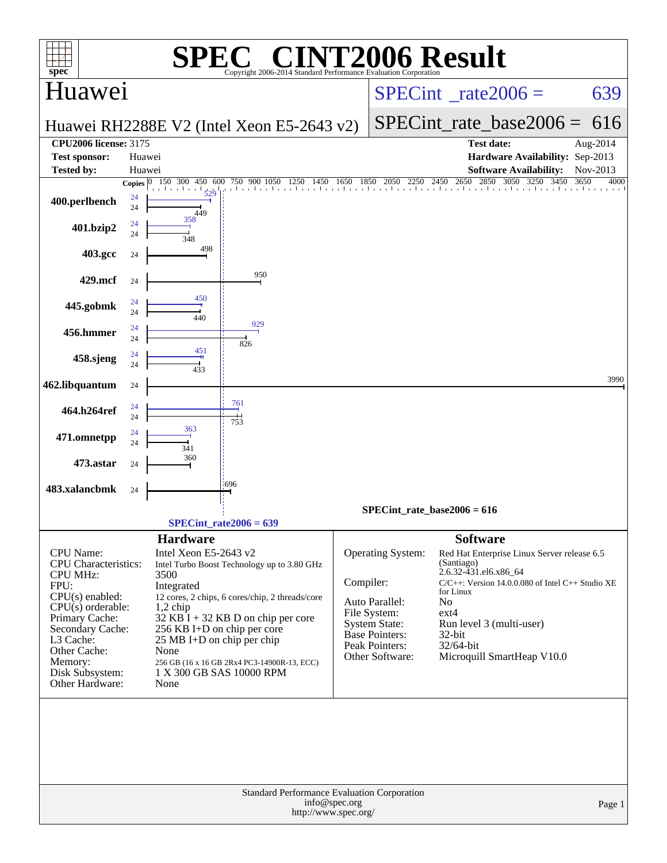| spec <sup>®</sup>                                                                                                                                                                                                                          |          |                                                                                                                                                           | $\bigwedge$<br>Copyright 2006-2014 Standard Performance Evaluation Corporation                                                                                                                                    |               |                                                                                                                                           | NT2006 Result                                                                                                                                                                                                                                                                  |              |  |  |  |
|--------------------------------------------------------------------------------------------------------------------------------------------------------------------------------------------------------------------------------------------|----------|-----------------------------------------------------------------------------------------------------------------------------------------------------------|-------------------------------------------------------------------------------------------------------------------------------------------------------------------------------------------------------------------|---------------|-------------------------------------------------------------------------------------------------------------------------------------------|--------------------------------------------------------------------------------------------------------------------------------------------------------------------------------------------------------------------------------------------------------------------------------|--------------|--|--|--|
| Huawei                                                                                                                                                                                                                                     |          |                                                                                                                                                           |                                                                                                                                                                                                                   |               | $SPECint^{\circ}$ rate $2006 =$                                                                                                           | 639                                                                                                                                                                                                                                                                            |              |  |  |  |
|                                                                                                                                                                                                                                            |          |                                                                                                                                                           | Huawei RH2288E V2 (Intel Xeon E5-2643 v2)                                                                                                                                                                         |               | SPECint rate base $2006 =$                                                                                                                | 616                                                                                                                                                                                                                                                                            |              |  |  |  |
| <b>CPU2006 license: 3175</b>                                                                                                                                                                                                               |          |                                                                                                                                                           |                                                                                                                                                                                                                   |               |                                                                                                                                           | <b>Test date:</b>                                                                                                                                                                                                                                                              | Aug-2014     |  |  |  |
| <b>Test sponsor:</b>                                                                                                                                                                                                                       | Huawei   |                                                                                                                                                           |                                                                                                                                                                                                                   |               |                                                                                                                                           | Hardware Availability: Sep-2013                                                                                                                                                                                                                                                |              |  |  |  |
| Tested by:                                                                                                                                                                                                                                 | Huawei   |                                                                                                                                                           |                                                                                                                                                                                                                   |               |                                                                                                                                           | <b>Software Availability:</b>                                                                                                                                                                                                                                                  | Nov-2013     |  |  |  |
|                                                                                                                                                                                                                                            |          | Copies $\boxed{0}$ 150 300<br>450 600<br>$\frac{1}{529}$                                                                                                  | 750 900 1050 1250<br>1450                                                                                                                                                                                         | 1650          | 2050<br>1850                                                                                                                              | 2250 2450 2650 2850 3050 3250<br>3450                                                                                                                                                                                                                                          | 3650<br>4000 |  |  |  |
| 400.perlbench                                                                                                                                                                                                                              | 24<br>24 | 449                                                                                                                                                       |                                                                                                                                                                                                                   |               |                                                                                                                                           |                                                                                                                                                                                                                                                                                |              |  |  |  |
| 401.bzip2                                                                                                                                                                                                                                  | 24<br>24 | 358<br>348                                                                                                                                                |                                                                                                                                                                                                                   |               |                                                                                                                                           |                                                                                                                                                                                                                                                                                |              |  |  |  |
| 403.gcc                                                                                                                                                                                                                                    | 24       | 498                                                                                                                                                       |                                                                                                                                                                                                                   |               |                                                                                                                                           |                                                                                                                                                                                                                                                                                |              |  |  |  |
| 429.mcf                                                                                                                                                                                                                                    | 24       |                                                                                                                                                           | 950                                                                                                                                                                                                               |               |                                                                                                                                           |                                                                                                                                                                                                                                                                                |              |  |  |  |
| 445.gobmk                                                                                                                                                                                                                                  | 24       | 450                                                                                                                                                       |                                                                                                                                                                                                                   |               |                                                                                                                                           |                                                                                                                                                                                                                                                                                |              |  |  |  |
| 456.hmmer                                                                                                                                                                                                                                  | 24<br>24 | 440                                                                                                                                                       | 929                                                                                                                                                                                                               |               |                                                                                                                                           |                                                                                                                                                                                                                                                                                |              |  |  |  |
|                                                                                                                                                                                                                                            | 24<br>24 | 451                                                                                                                                                       | 826                                                                                                                                                                                                               |               |                                                                                                                                           |                                                                                                                                                                                                                                                                                |              |  |  |  |
| 458.sjeng                                                                                                                                                                                                                                  | 24       | 433                                                                                                                                                       |                                                                                                                                                                                                                   |               |                                                                                                                                           |                                                                                                                                                                                                                                                                                | 3990         |  |  |  |
| 462.libquantum                                                                                                                                                                                                                             | 24       |                                                                                                                                                           | 761                                                                                                                                                                                                               |               |                                                                                                                                           |                                                                                                                                                                                                                                                                                |              |  |  |  |
| 464.h264ref                                                                                                                                                                                                                                | 24<br>24 | 363                                                                                                                                                       | 753                                                                                                                                                                                                               |               |                                                                                                                                           |                                                                                                                                                                                                                                                                                |              |  |  |  |
| 471.omnetpp                                                                                                                                                                                                                                | 24<br>24 | 341                                                                                                                                                       |                                                                                                                                                                                                                   |               |                                                                                                                                           |                                                                                                                                                                                                                                                                                |              |  |  |  |
| 473.astar                                                                                                                                                                                                                                  | 24       | 360                                                                                                                                                       |                                                                                                                                                                                                                   |               |                                                                                                                                           |                                                                                                                                                                                                                                                                                |              |  |  |  |
| 483.xalancbmk                                                                                                                                                                                                                              | 24       |                                                                                                                                                           | '696                                                                                                                                                                                                              |               |                                                                                                                                           |                                                                                                                                                                                                                                                                                |              |  |  |  |
|                                                                                                                                                                                                                                            |          |                                                                                                                                                           |                                                                                                                                                                                                                   |               | $SPECint_rate_base2006 = 616$                                                                                                             |                                                                                                                                                                                                                                                                                |              |  |  |  |
|                                                                                                                                                                                                                                            |          |                                                                                                                                                           | $SPECint_rate2006 = 639$                                                                                                                                                                                          |               |                                                                                                                                           |                                                                                                                                                                                                                                                                                |              |  |  |  |
| <b>CPU</b> Name:<br><b>CPU</b> Characteristics:<br><b>CPU MHz:</b><br>FPU:<br>$CPU(s)$ enabled:<br>$CPU(s)$ orderable:<br>Primary Cache:<br>Secondary Cache:<br>L3 Cache:<br>Other Cache:<br>Memory:<br>Disk Subsystem:<br>Other Hardware: |          | <b>Hardware</b><br>Intel Xeon E5-2643 v2<br>3500<br>Integrated<br>$1,2$ chip<br>256 KB I+D on chip per core<br>25 MB I+D on chip per chip<br>None<br>None | Intel Turbo Boost Technology up to 3.80 GHz<br>12 cores, 2 chips, 6 cores/chip, 2 threads/core<br>$32$ KB I + 32 KB D on chip per core<br>256 GB (16 x 16 GB 2Rx4 PC3-14900R-13, ECC)<br>1 X 300 GB SAS 10000 RPM | Compiler:     | <b>Operating System:</b><br>Auto Parallel:<br>File System:<br><b>System State:</b><br>Base Pointers:<br>Peak Pointers:<br>Other Software: | <b>Software</b><br>Red Hat Enterprise Linux Server release 6.5<br>(Santiago)<br>2.6.32-431.el6.x86_64<br>$C/C++$ : Version 14.0.0.080 of Intel $C++$ Studio XE<br>for Linux<br>No<br>$ext{4}$<br>Run level 3 (multi-user)<br>32-bit<br>32/64-bit<br>Microquill SmartHeap V10.0 |              |  |  |  |
|                                                                                                                                                                                                                                            |          |                                                                                                                                                           | Standard Performance Evaluation Corporation<br>http://www.spec.org/                                                                                                                                               | info@spec.org |                                                                                                                                           |                                                                                                                                                                                                                                                                                | Page 1       |  |  |  |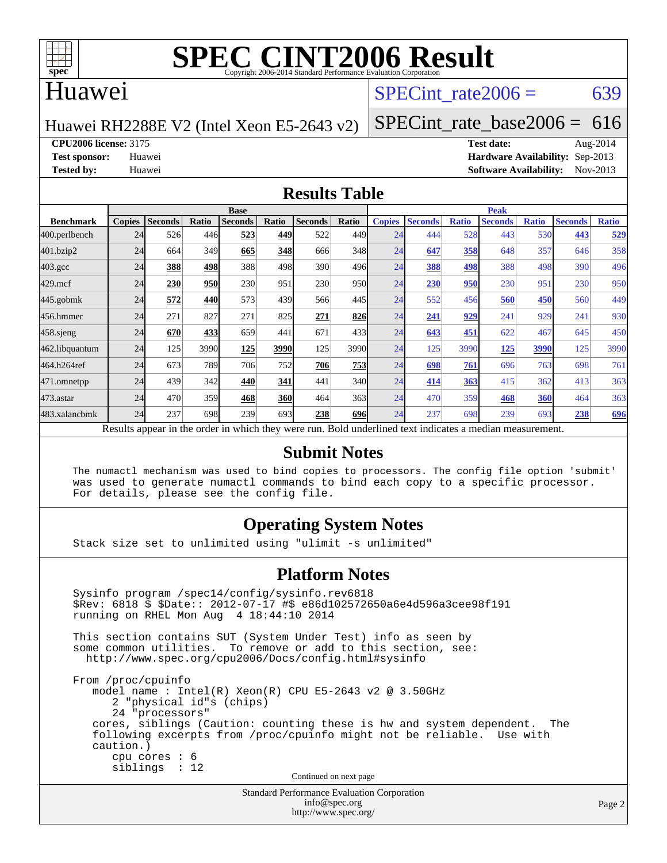

#### Huawei

#### SPECint rate $2006 = 639$

#### Huawei RH2288E V2 (Intel Xeon E5-2643 v2)

[SPECint\\_rate\\_base2006 =](http://www.spec.org/auto/cpu2006/Docs/result-fields.html#SPECintratebase2006)  $616$ 

#### **[CPU2006 license:](http://www.spec.org/auto/cpu2006/Docs/result-fields.html#CPU2006license)** 3175 **[Test date:](http://www.spec.org/auto/cpu2006/Docs/result-fields.html#Testdate)** Aug-2014

**[Test sponsor:](http://www.spec.org/auto/cpu2006/Docs/result-fields.html#Testsponsor)** Huawei **[Hardware Availability:](http://www.spec.org/auto/cpu2006/Docs/result-fields.html#HardwareAvailability)** Sep-2013 **[Tested by:](http://www.spec.org/auto/cpu2006/Docs/result-fields.html#Testedby)** Huawei **[Software Availability:](http://www.spec.org/auto/cpu2006/Docs/result-fields.html#SoftwareAvailability)** Nov-2013

#### **[Results Table](http://www.spec.org/auto/cpu2006/Docs/result-fields.html#ResultsTable)**

|                                                                                                          | <b>Base</b>   |                |            |                |       |                |                  | <b>Peak</b>   |                |              |                |              |                |              |
|----------------------------------------------------------------------------------------------------------|---------------|----------------|------------|----------------|-------|----------------|------------------|---------------|----------------|--------------|----------------|--------------|----------------|--------------|
| <b>Benchmark</b>                                                                                         | <b>Copies</b> | <b>Seconds</b> | Ratio      | <b>Seconds</b> | Ratio | <b>Seconds</b> | Ratio            | <b>Copies</b> | <b>Seconds</b> | <b>Ratio</b> | <b>Seconds</b> | <b>Ratio</b> | <b>Seconds</b> | <b>Ratio</b> |
| 400.perlbench                                                                                            | 24            | 526            | 446        | 523            | 449   | 522            | 449              | 24            | 444            | 528          | 443            | 530          | 443            | 529          |
| 401.bzip2                                                                                                | 24            | 664            | 349        | 665            | 348   | 666            | 348              | 24            | 647            | 358          | 648            | 357          | 646            | 358          |
| $403.\mathrm{gcc}$                                                                                       | 24            | 388            | 498        | 388            | 498   | 390            | 496 <sub>l</sub> | 24            | 388            | 498          | 388            | 498          | 390            | 496          |
| $429$ .mcf                                                                                               | 24            | 230            | <b>950</b> | 230            | 951   | 230            | 950              | 24            | 230            | 950          | 230            | 951          | 230            | 950          |
| $445$ .gobmk                                                                                             | 24            | 572            | 440        | 573            | 439   | 566            | 445I             | 24            | 552            | 456          | 560            | 450          | 560            | 449          |
| 456.hmmer                                                                                                | 24            | 271            | 827        | 271            | 825   | 271            | 826              | 24            | <u>241</u>     | 929          | 241            | 929          | 241            | 930          |
| $458$ .sjeng                                                                                             | 24            | 670            | 433        | 659            | 441   | 671            | 433              | 24            | 643            | 451          | 622            | 467          | 645            | 450          |
| 462.libquantum                                                                                           | 24            | 125            | 3990       | 125            | 3990  | 125            | 3990             | 24            | 125            | 3990         | 125            | 3990         | 125            | 3990         |
| 464.h264ref                                                                                              | 24            | 673            | 789        | 706            | 752   | 706            | 753              | 24            | 698            | 761          | 696            | 763          | 698            | 761          |
| 471.omnetpp                                                                                              | 24            | 439            | 342        | 440            | 341   | 441            | 340              | 24            | 414            | 363          | 415            | 362          | 413            | 363          |
| $473$ . astar                                                                                            | 24            | 470            | 359        | 468            | 360   | 464            | 363              | 24            | 470            | 359          | 468            | 360          | 464            | 363          |
| 483.xalancbmk                                                                                            | 24            | 237            | 698        | 239            | 693   | 238            | <b>696</b>       | 24            | 237            | 698          | 239            | 693          | 238            | 696          |
| Results appear in the order in which they were run. Bold underlined text indicates a median measurement. |               |                |            |                |       |                |                  |               |                |              |                |              |                |              |

#### **[Submit Notes](http://www.spec.org/auto/cpu2006/Docs/result-fields.html#SubmitNotes)**

 The numactl mechanism was used to bind copies to processors. The config file option 'submit' was used to generate numactl commands to bind each copy to a specific processor. For details, please see the config file.

#### **[Operating System Notes](http://www.spec.org/auto/cpu2006/Docs/result-fields.html#OperatingSystemNotes)**

Stack size set to unlimited using "ulimit -s unlimited"

#### **[Platform Notes](http://www.spec.org/auto/cpu2006/Docs/result-fields.html#PlatformNotes)**

Standard Performance Evaluation Corporation Sysinfo program /spec14/config/sysinfo.rev6818 \$Rev: 6818 \$ \$Date:: 2012-07-17 #\$ e86d102572650a6e4d596a3cee98f191 running on RHEL Mon Aug 4 18:44:10 2014 This section contains SUT (System Under Test) info as seen by some common utilities. To remove or add to this section, see: <http://www.spec.org/cpu2006/Docs/config.html#sysinfo> From /proc/cpuinfo model name : Intel(R) Xeon(R) CPU E5-2643 v2 @ 3.50GHz 2 "physical id"s (chips) 24 "processors" cores, siblings (Caution: counting these is hw and system dependent. The following excerpts from /proc/cpuinfo might not be reliable. Use with caution.) cpu cores : 6 siblings : 12 Continued on next page

[info@spec.org](mailto:info@spec.org) <http://www.spec.org/>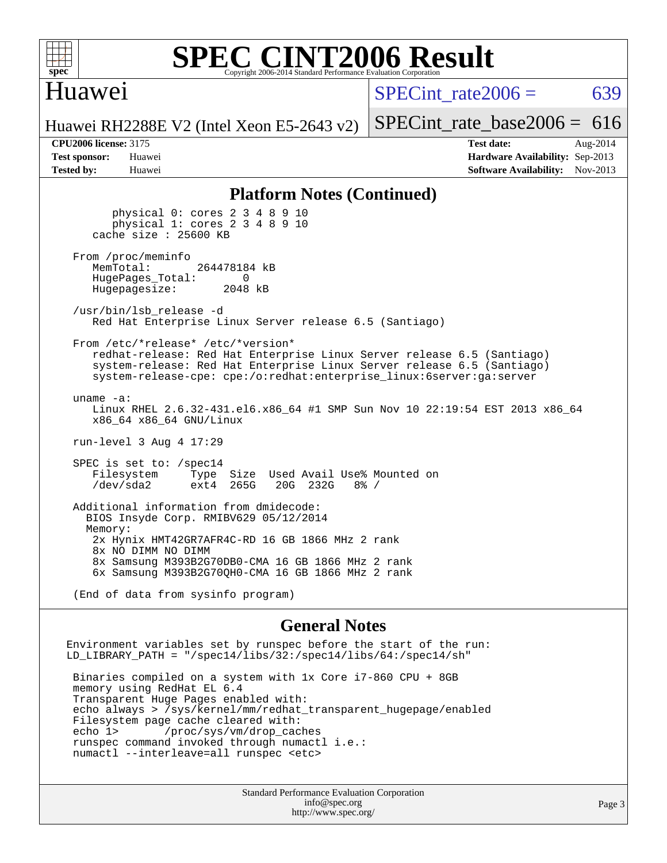

#### **[SPEC CINT2006 Result](http://www.spec.org/auto/cpu2006/Docs/result-fields.html#SPECCINT2006Result)** Copyright 2006-2014 Standard Performance Evaluation C

### Huawei

SPECint rate $2006 = 639$ 

[SPECint\\_rate\\_base2006 =](http://www.spec.org/auto/cpu2006/Docs/result-fields.html#SPECintratebase2006)  $616$ 

Huawei RH2288E V2 (Intel Xeon E5-2643 v2)

**[Tested by:](http://www.spec.org/auto/cpu2006/Docs/result-fields.html#Testedby)** Huawei **[Software Availability:](http://www.spec.org/auto/cpu2006/Docs/result-fields.html#SoftwareAvailability)** Nov-2013

**[CPU2006 license:](http://www.spec.org/auto/cpu2006/Docs/result-fields.html#CPU2006license)** 3175 **[Test date:](http://www.spec.org/auto/cpu2006/Docs/result-fields.html#Testdate)** Aug-2014 **[Test sponsor:](http://www.spec.org/auto/cpu2006/Docs/result-fields.html#Testsponsor)** Huawei **[Hardware Availability:](http://www.spec.org/auto/cpu2006/Docs/result-fields.html#HardwareAvailability)** Sep-2013

#### **[Platform Notes \(Continued\)](http://www.spec.org/auto/cpu2006/Docs/result-fields.html#PlatformNotes)**

 physical 0: cores 2 3 4 8 9 10 physical 1: cores 2 3 4 8 9 10 cache size : 25600 KB From /proc/meminfo<br>MemTotal: 264478184 kB HugePages\_Total: 0<br>Hugepagesize: 2048 kB Hugepagesize: /usr/bin/lsb\_release -d Red Hat Enterprise Linux Server release 6.5 (Santiago) From /etc/\*release\* /etc/\*version\* redhat-release: Red Hat Enterprise Linux Server release 6.5 (Santiago) system-release: Red Hat Enterprise Linux Server release 6.5 (Santiago) system-release-cpe: cpe:/o:redhat:enterprise\_linux:6server:ga:server uname -a: Linux RHEL 2.6.32-431.el6.x86\_64 #1 SMP Sun Nov 10 22:19:54 EST 2013 x86\_64 x86\_64 x86\_64 GNU/Linux run-level 3 Aug 4 17:29 SPEC is set to: /spec14 Filesystem Type Size Used Avail Use% Mounted on<br>
/dev/sda2 ext4 265G 20G 232G 8% / /dev/sda2 ext4 265G 20G 232G 8% / Additional information from dmidecode: BIOS Insyde Corp. RMIBV629 05/12/2014 Memory: 2x Hynix HMT42GR7AFR4C-RD 16 GB 1866 MHz 2 rank 8x NO DIMM NO DIMM 8x Samsung M393B2G70DB0-CMA 16 GB 1866 MHz 2 rank 6x Samsung M393B2G70QH0-CMA 16 GB 1866 MHz 2 rank

(End of data from sysinfo program)

#### **[General Notes](http://www.spec.org/auto/cpu2006/Docs/result-fields.html#GeneralNotes)**

Environment variables set by runspec before the start of the run: LD LIBRARY PATH = "/spec14/libs/32:/spec14/libs/64:/spec14/sh" Binaries compiled on a system with 1x Core i7-860 CPU + 8GB memory using RedHat EL 6.4 Transparent Huge Pages enabled with: echo always > /sys/kernel/mm/redhat\_transparent\_hugepage/enabled Filesystem page cache cleared with: echo 1> /proc/sys/vm/drop\_caches runspec command invoked through numactl i.e.: numactl --interleave=all runspec <etc>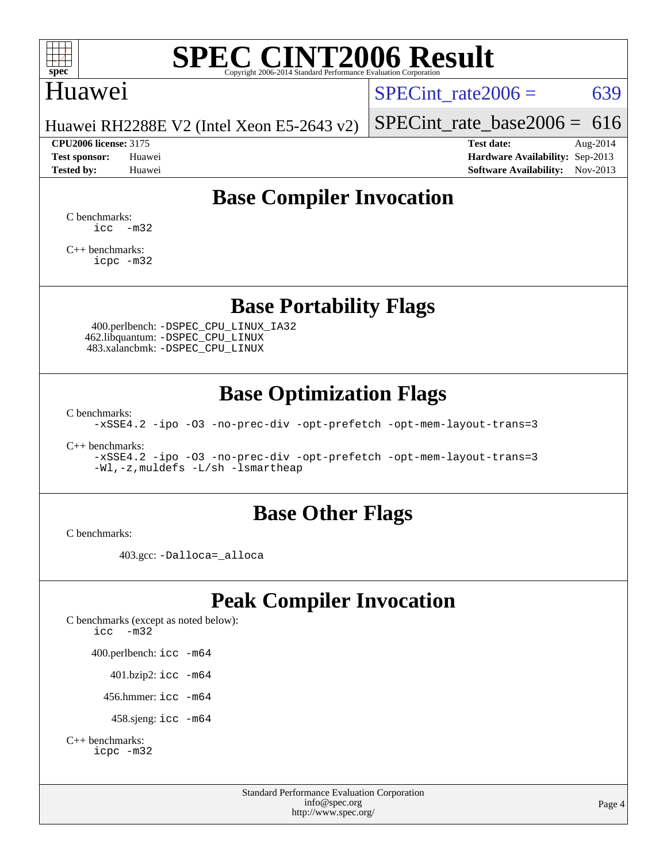

### Huawei

SPECint rate $2006 = 639$ 

Huawei RH2288E V2 (Intel Xeon E5-2643 v2)

[SPECint\\_rate\\_base2006 =](http://www.spec.org/auto/cpu2006/Docs/result-fields.html#SPECintratebase2006)  $616$ **[CPU2006 license:](http://www.spec.org/auto/cpu2006/Docs/result-fields.html#CPU2006license)** 3175 **[Test date:](http://www.spec.org/auto/cpu2006/Docs/result-fields.html#Testdate)** Aug-2014

**[Test sponsor:](http://www.spec.org/auto/cpu2006/Docs/result-fields.html#Testsponsor)** Huawei **[Hardware Availability:](http://www.spec.org/auto/cpu2006/Docs/result-fields.html#HardwareAvailability)** Sep-2013 **[Tested by:](http://www.spec.org/auto/cpu2006/Docs/result-fields.html#Testedby)** Huawei **[Software Availability:](http://www.spec.org/auto/cpu2006/Docs/result-fields.html#SoftwareAvailability)** Nov-2013

# **[Base Compiler Invocation](http://www.spec.org/auto/cpu2006/Docs/result-fields.html#BaseCompilerInvocation)**

[C benchmarks](http://www.spec.org/auto/cpu2006/Docs/result-fields.html#Cbenchmarks):  $\text{icc}$   $-\text{m32}$ 

[C++ benchmarks:](http://www.spec.org/auto/cpu2006/Docs/result-fields.html#CXXbenchmarks) [icpc -m32](http://www.spec.org/cpu2006/results/res2014q3/cpu2006-20140820-30962.flags.html#user_CXXbase_intel_icpc_4e5a5ef1a53fd332b3c49e69c3330699)

**[Base Portability Flags](http://www.spec.org/auto/cpu2006/Docs/result-fields.html#BasePortabilityFlags)**

 400.perlbench: [-DSPEC\\_CPU\\_LINUX\\_IA32](http://www.spec.org/cpu2006/results/res2014q3/cpu2006-20140820-30962.flags.html#b400.perlbench_baseCPORTABILITY_DSPEC_CPU_LINUX_IA32) 462.libquantum: [-DSPEC\\_CPU\\_LINUX](http://www.spec.org/cpu2006/results/res2014q3/cpu2006-20140820-30962.flags.html#b462.libquantum_baseCPORTABILITY_DSPEC_CPU_LINUX) 483.xalancbmk: [-DSPEC\\_CPU\\_LINUX](http://www.spec.org/cpu2006/results/res2014q3/cpu2006-20140820-30962.flags.html#b483.xalancbmk_baseCXXPORTABILITY_DSPEC_CPU_LINUX)

# **[Base Optimization Flags](http://www.spec.org/auto/cpu2006/Docs/result-fields.html#BaseOptimizationFlags)**

[C benchmarks](http://www.spec.org/auto/cpu2006/Docs/result-fields.html#Cbenchmarks):

[-xSSE4.2](http://www.spec.org/cpu2006/results/res2014q3/cpu2006-20140820-30962.flags.html#user_CCbase_f-xSSE42_f91528193cf0b216347adb8b939d4107) [-ipo](http://www.spec.org/cpu2006/results/res2014q3/cpu2006-20140820-30962.flags.html#user_CCbase_f-ipo) [-O3](http://www.spec.org/cpu2006/results/res2014q3/cpu2006-20140820-30962.flags.html#user_CCbase_f-O3) [-no-prec-div](http://www.spec.org/cpu2006/results/res2014q3/cpu2006-20140820-30962.flags.html#user_CCbase_f-no-prec-div) [-opt-prefetch](http://www.spec.org/cpu2006/results/res2014q3/cpu2006-20140820-30962.flags.html#user_CCbase_f-opt-prefetch) [-opt-mem-layout-trans=3](http://www.spec.org/cpu2006/results/res2014q3/cpu2006-20140820-30962.flags.html#user_CCbase_f-opt-mem-layout-trans_a7b82ad4bd7abf52556d4961a2ae94d5)

[C++ benchmarks:](http://www.spec.org/auto/cpu2006/Docs/result-fields.html#CXXbenchmarks)

[-xSSE4.2](http://www.spec.org/cpu2006/results/res2014q3/cpu2006-20140820-30962.flags.html#user_CXXbase_f-xSSE42_f91528193cf0b216347adb8b939d4107) [-ipo](http://www.spec.org/cpu2006/results/res2014q3/cpu2006-20140820-30962.flags.html#user_CXXbase_f-ipo) [-O3](http://www.spec.org/cpu2006/results/res2014q3/cpu2006-20140820-30962.flags.html#user_CXXbase_f-O3) [-no-prec-div](http://www.spec.org/cpu2006/results/res2014q3/cpu2006-20140820-30962.flags.html#user_CXXbase_f-no-prec-div) [-opt-prefetch](http://www.spec.org/cpu2006/results/res2014q3/cpu2006-20140820-30962.flags.html#user_CXXbase_f-opt-prefetch) [-opt-mem-layout-trans=3](http://www.spec.org/cpu2006/results/res2014q3/cpu2006-20140820-30962.flags.html#user_CXXbase_f-opt-mem-layout-trans_a7b82ad4bd7abf52556d4961a2ae94d5) [-Wl,-z,muldefs](http://www.spec.org/cpu2006/results/res2014q3/cpu2006-20140820-30962.flags.html#user_CXXbase_link_force_multiple1_74079c344b956b9658436fd1b6dd3a8a) [-L/sh -lsmartheap](http://www.spec.org/cpu2006/results/res2014q3/cpu2006-20140820-30962.flags.html#user_CXXbase_SmartHeap_32f6c82aa1ed9c52345d30cf6e4a0499)

#### **[Base Other Flags](http://www.spec.org/auto/cpu2006/Docs/result-fields.html#BaseOtherFlags)**

[C benchmarks](http://www.spec.org/auto/cpu2006/Docs/result-fields.html#Cbenchmarks):

403.gcc: [-Dalloca=\\_alloca](http://www.spec.org/cpu2006/results/res2014q3/cpu2006-20140820-30962.flags.html#b403.gcc_baseEXTRA_CFLAGS_Dalloca_be3056838c12de2578596ca5467af7f3)

# **[Peak Compiler Invocation](http://www.spec.org/auto/cpu2006/Docs/result-fields.html#PeakCompilerInvocation)**

[C benchmarks \(except as noted below\)](http://www.spec.org/auto/cpu2006/Docs/result-fields.html#Cbenchmarksexceptasnotedbelow): [icc -m32](http://www.spec.org/cpu2006/results/res2014q3/cpu2006-20140820-30962.flags.html#user_CCpeak_intel_icc_5ff4a39e364c98233615fdd38438c6f2) 400.perlbench: [icc -m64](http://www.spec.org/cpu2006/results/res2014q3/cpu2006-20140820-30962.flags.html#user_peakCCLD400_perlbench_intel_icc_64bit_bda6cc9af1fdbb0edc3795bac97ada53) 401.bzip2: [icc -m64](http://www.spec.org/cpu2006/results/res2014q3/cpu2006-20140820-30962.flags.html#user_peakCCLD401_bzip2_intel_icc_64bit_bda6cc9af1fdbb0edc3795bac97ada53)

456.hmmer: [icc -m64](http://www.spec.org/cpu2006/results/res2014q3/cpu2006-20140820-30962.flags.html#user_peakCCLD456_hmmer_intel_icc_64bit_bda6cc9af1fdbb0edc3795bac97ada53)

458.sjeng: [icc -m64](http://www.spec.org/cpu2006/results/res2014q3/cpu2006-20140820-30962.flags.html#user_peakCCLD458_sjeng_intel_icc_64bit_bda6cc9af1fdbb0edc3795bac97ada53)

```
C++ benchmarks: 
    icpc -m32
```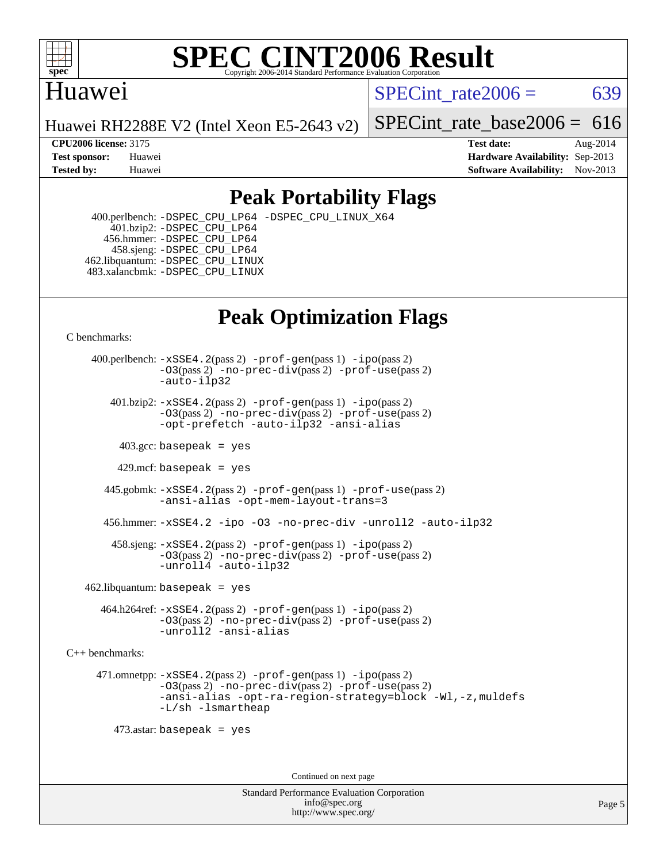

# Huawei

SPECint rate $2006 = 639$ 

Huawei RH2288E V2 (Intel Xeon E5-2643 v2)

SPECint rate base2006 =  $616$ 

**[CPU2006 license:](http://www.spec.org/auto/cpu2006/Docs/result-fields.html#CPU2006license)** 3175 **[Test date:](http://www.spec.org/auto/cpu2006/Docs/result-fields.html#Testdate)** Aug-2014 **[Test sponsor:](http://www.spec.org/auto/cpu2006/Docs/result-fields.html#Testsponsor)** Huawei **[Hardware Availability:](http://www.spec.org/auto/cpu2006/Docs/result-fields.html#HardwareAvailability)** Sep-2013 **[Tested by:](http://www.spec.org/auto/cpu2006/Docs/result-fields.html#Testedby)** Huawei **[Software Availability:](http://www.spec.org/auto/cpu2006/Docs/result-fields.html#SoftwareAvailability)** Nov-2013

# **[Peak Portability Flags](http://www.spec.org/auto/cpu2006/Docs/result-fields.html#PeakPortabilityFlags)**

 400.perlbench: [-DSPEC\\_CPU\\_LP64](http://www.spec.org/cpu2006/results/res2014q3/cpu2006-20140820-30962.flags.html#b400.perlbench_peakCPORTABILITY_DSPEC_CPU_LP64) [-DSPEC\\_CPU\\_LINUX\\_X64](http://www.spec.org/cpu2006/results/res2014q3/cpu2006-20140820-30962.flags.html#b400.perlbench_peakCPORTABILITY_DSPEC_CPU_LINUX_X64) 401.bzip2: [-DSPEC\\_CPU\\_LP64](http://www.spec.org/cpu2006/results/res2014q3/cpu2006-20140820-30962.flags.html#suite_peakCPORTABILITY401_bzip2_DSPEC_CPU_LP64) 456.hmmer: [-DSPEC\\_CPU\\_LP64](http://www.spec.org/cpu2006/results/res2014q3/cpu2006-20140820-30962.flags.html#suite_peakCPORTABILITY456_hmmer_DSPEC_CPU_LP64) 458.sjeng: [-DSPEC\\_CPU\\_LP64](http://www.spec.org/cpu2006/results/res2014q3/cpu2006-20140820-30962.flags.html#suite_peakCPORTABILITY458_sjeng_DSPEC_CPU_LP64) 462.libquantum: [-DSPEC\\_CPU\\_LINUX](http://www.spec.org/cpu2006/results/res2014q3/cpu2006-20140820-30962.flags.html#b462.libquantum_peakCPORTABILITY_DSPEC_CPU_LINUX) 483.xalancbmk: [-DSPEC\\_CPU\\_LINUX](http://www.spec.org/cpu2006/results/res2014q3/cpu2006-20140820-30962.flags.html#b483.xalancbmk_peakCXXPORTABILITY_DSPEC_CPU_LINUX)

# **[Peak Optimization Flags](http://www.spec.org/auto/cpu2006/Docs/result-fields.html#PeakOptimizationFlags)**

[C benchmarks](http://www.spec.org/auto/cpu2006/Docs/result-fields.html#Cbenchmarks):

 400.perlbench: [-xSSE4.2](http://www.spec.org/cpu2006/results/res2014q3/cpu2006-20140820-30962.flags.html#user_peakPASS2_CFLAGSPASS2_LDCFLAGS400_perlbench_f-xSSE42_f91528193cf0b216347adb8b939d4107)(pass 2) [-prof-gen](http://www.spec.org/cpu2006/results/res2014q3/cpu2006-20140820-30962.flags.html#user_peakPASS1_CFLAGSPASS1_LDCFLAGS400_perlbench_prof_gen_e43856698f6ca7b7e442dfd80e94a8fc)(pass 1) [-ipo](http://www.spec.org/cpu2006/results/res2014q3/cpu2006-20140820-30962.flags.html#user_peakPASS2_CFLAGSPASS2_LDCFLAGS400_perlbench_f-ipo)(pass 2) [-O3](http://www.spec.org/cpu2006/results/res2014q3/cpu2006-20140820-30962.flags.html#user_peakPASS2_CFLAGSPASS2_LDCFLAGS400_perlbench_f-O3)(pass 2) [-no-prec-div](http://www.spec.org/cpu2006/results/res2014q3/cpu2006-20140820-30962.flags.html#user_peakPASS2_CFLAGSPASS2_LDCFLAGS400_perlbench_f-no-prec-div)(pass 2) [-prof-use](http://www.spec.org/cpu2006/results/res2014q3/cpu2006-20140820-30962.flags.html#user_peakPASS2_CFLAGSPASS2_LDCFLAGS400_perlbench_prof_use_bccf7792157ff70d64e32fe3e1250b55)(pass 2) [-auto-ilp32](http://www.spec.org/cpu2006/results/res2014q3/cpu2006-20140820-30962.flags.html#user_peakCOPTIMIZE400_perlbench_f-auto-ilp32)  $401.bzip2: -xSSE4.2(pass 2) -prof-qen(pass 1) -ipo(pass 2)$  $401.bzip2: -xSSE4.2(pass 2) -prof-qen(pass 1) -ipo(pass 2)$  $401.bzip2: -xSSE4.2(pass 2) -prof-qen(pass 1) -ipo(pass 2)$  $401.bzip2: -xSSE4.2(pass 2) -prof-qen(pass 1) -ipo(pass 2)$  $401.bzip2: -xSSE4.2(pass 2) -prof-qen(pass 1) -ipo(pass 2)$ [-O3](http://www.spec.org/cpu2006/results/res2014q3/cpu2006-20140820-30962.flags.html#user_peakPASS2_CFLAGSPASS2_LDCFLAGS401_bzip2_f-O3)(pass 2) [-no-prec-div](http://www.spec.org/cpu2006/results/res2014q3/cpu2006-20140820-30962.flags.html#user_peakPASS2_CFLAGSPASS2_LDCFLAGS401_bzip2_f-no-prec-div)(pass 2) [-prof-use](http://www.spec.org/cpu2006/results/res2014q3/cpu2006-20140820-30962.flags.html#user_peakPASS2_CFLAGSPASS2_LDCFLAGS401_bzip2_prof_use_bccf7792157ff70d64e32fe3e1250b55)(pass 2) [-opt-prefetch](http://www.spec.org/cpu2006/results/res2014q3/cpu2006-20140820-30962.flags.html#user_peakCOPTIMIZE401_bzip2_f-opt-prefetch) [-auto-ilp32](http://www.spec.org/cpu2006/results/res2014q3/cpu2006-20140820-30962.flags.html#user_peakCOPTIMIZE401_bzip2_f-auto-ilp32) [-ansi-alias](http://www.spec.org/cpu2006/results/res2014q3/cpu2006-20140820-30962.flags.html#user_peakCOPTIMIZE401_bzip2_f-ansi-alias)  $403.\text{sec: basepeak}$  = yes 429.mcf: basepeak = yes 445.gobmk: [-xSSE4.2](http://www.spec.org/cpu2006/results/res2014q3/cpu2006-20140820-30962.flags.html#user_peakPASS2_CFLAGSPASS2_LDCFLAGS445_gobmk_f-xSSE42_f91528193cf0b216347adb8b939d4107)(pass 2) [-prof-gen](http://www.spec.org/cpu2006/results/res2014q3/cpu2006-20140820-30962.flags.html#user_peakPASS1_CFLAGSPASS1_LDCFLAGS445_gobmk_prof_gen_e43856698f6ca7b7e442dfd80e94a8fc)(pass 1) [-prof-use](http://www.spec.org/cpu2006/results/res2014q3/cpu2006-20140820-30962.flags.html#user_peakPASS2_CFLAGSPASS2_LDCFLAGS445_gobmk_prof_use_bccf7792157ff70d64e32fe3e1250b55)(pass 2) [-ansi-alias](http://www.spec.org/cpu2006/results/res2014q3/cpu2006-20140820-30962.flags.html#user_peakCOPTIMIZE445_gobmk_f-ansi-alias) [-opt-mem-layout-trans=3](http://www.spec.org/cpu2006/results/res2014q3/cpu2006-20140820-30962.flags.html#user_peakCOPTIMIZE445_gobmk_f-opt-mem-layout-trans_a7b82ad4bd7abf52556d4961a2ae94d5) 456.hmmer: [-xSSE4.2](http://www.spec.org/cpu2006/results/res2014q3/cpu2006-20140820-30962.flags.html#user_peakCOPTIMIZE456_hmmer_f-xSSE42_f91528193cf0b216347adb8b939d4107) [-ipo](http://www.spec.org/cpu2006/results/res2014q3/cpu2006-20140820-30962.flags.html#user_peakCOPTIMIZE456_hmmer_f-ipo) [-O3](http://www.spec.org/cpu2006/results/res2014q3/cpu2006-20140820-30962.flags.html#user_peakCOPTIMIZE456_hmmer_f-O3) [-no-prec-div](http://www.spec.org/cpu2006/results/res2014q3/cpu2006-20140820-30962.flags.html#user_peakCOPTIMIZE456_hmmer_f-no-prec-div) [-unroll2](http://www.spec.org/cpu2006/results/res2014q3/cpu2006-20140820-30962.flags.html#user_peakCOPTIMIZE456_hmmer_f-unroll_784dae83bebfb236979b41d2422d7ec2) [-auto-ilp32](http://www.spec.org/cpu2006/results/res2014q3/cpu2006-20140820-30962.flags.html#user_peakCOPTIMIZE456_hmmer_f-auto-ilp32) 458.sjeng: [-xSSE4.2](http://www.spec.org/cpu2006/results/res2014q3/cpu2006-20140820-30962.flags.html#user_peakPASS2_CFLAGSPASS2_LDCFLAGS458_sjeng_f-xSSE42_f91528193cf0b216347adb8b939d4107)(pass 2) [-prof-gen](http://www.spec.org/cpu2006/results/res2014q3/cpu2006-20140820-30962.flags.html#user_peakPASS1_CFLAGSPASS1_LDCFLAGS458_sjeng_prof_gen_e43856698f6ca7b7e442dfd80e94a8fc)(pass 1) [-ipo](http://www.spec.org/cpu2006/results/res2014q3/cpu2006-20140820-30962.flags.html#user_peakPASS2_CFLAGSPASS2_LDCFLAGS458_sjeng_f-ipo)(pass 2) [-O3](http://www.spec.org/cpu2006/results/res2014q3/cpu2006-20140820-30962.flags.html#user_peakPASS2_CFLAGSPASS2_LDCFLAGS458_sjeng_f-O3)(pass 2) [-no-prec-div](http://www.spec.org/cpu2006/results/res2014q3/cpu2006-20140820-30962.flags.html#user_peakPASS2_CFLAGSPASS2_LDCFLAGS458_sjeng_f-no-prec-div)(pass 2) [-prof-use](http://www.spec.org/cpu2006/results/res2014q3/cpu2006-20140820-30962.flags.html#user_peakPASS2_CFLAGSPASS2_LDCFLAGS458_sjeng_prof_use_bccf7792157ff70d64e32fe3e1250b55)(pass 2) [-unroll4](http://www.spec.org/cpu2006/results/res2014q3/cpu2006-20140820-30962.flags.html#user_peakCOPTIMIZE458_sjeng_f-unroll_4e5e4ed65b7fd20bdcd365bec371b81f) [-auto-ilp32](http://www.spec.org/cpu2006/results/res2014q3/cpu2006-20140820-30962.flags.html#user_peakCOPTIMIZE458_sjeng_f-auto-ilp32)  $462$ .libquantum: basepeak = yes 464.h264ref: [-xSSE4.2](http://www.spec.org/cpu2006/results/res2014q3/cpu2006-20140820-30962.flags.html#user_peakPASS2_CFLAGSPASS2_LDCFLAGS464_h264ref_f-xSSE42_f91528193cf0b216347adb8b939d4107)(pass 2) [-prof-gen](http://www.spec.org/cpu2006/results/res2014q3/cpu2006-20140820-30962.flags.html#user_peakPASS1_CFLAGSPASS1_LDCFLAGS464_h264ref_prof_gen_e43856698f6ca7b7e442dfd80e94a8fc)(pass 1) [-ipo](http://www.spec.org/cpu2006/results/res2014q3/cpu2006-20140820-30962.flags.html#user_peakPASS2_CFLAGSPASS2_LDCFLAGS464_h264ref_f-ipo)(pass 2) [-O3](http://www.spec.org/cpu2006/results/res2014q3/cpu2006-20140820-30962.flags.html#user_peakPASS2_CFLAGSPASS2_LDCFLAGS464_h264ref_f-O3)(pass 2) [-no-prec-div](http://www.spec.org/cpu2006/results/res2014q3/cpu2006-20140820-30962.flags.html#user_peakPASS2_CFLAGSPASS2_LDCFLAGS464_h264ref_f-no-prec-div)(pass 2) [-prof-use](http://www.spec.org/cpu2006/results/res2014q3/cpu2006-20140820-30962.flags.html#user_peakPASS2_CFLAGSPASS2_LDCFLAGS464_h264ref_prof_use_bccf7792157ff70d64e32fe3e1250b55)(pass 2) [-unroll2](http://www.spec.org/cpu2006/results/res2014q3/cpu2006-20140820-30962.flags.html#user_peakCOPTIMIZE464_h264ref_f-unroll_784dae83bebfb236979b41d2422d7ec2) [-ansi-alias](http://www.spec.org/cpu2006/results/res2014q3/cpu2006-20140820-30962.flags.html#user_peakCOPTIMIZE464_h264ref_f-ansi-alias)

[C++ benchmarks:](http://www.spec.org/auto/cpu2006/Docs/result-fields.html#CXXbenchmarks)

 471.omnetpp: [-xSSE4.2](http://www.spec.org/cpu2006/results/res2014q3/cpu2006-20140820-30962.flags.html#user_peakPASS2_CXXFLAGSPASS2_LDCXXFLAGS471_omnetpp_f-xSSE42_f91528193cf0b216347adb8b939d4107)(pass 2) [-prof-gen](http://www.spec.org/cpu2006/results/res2014q3/cpu2006-20140820-30962.flags.html#user_peakPASS1_CXXFLAGSPASS1_LDCXXFLAGS471_omnetpp_prof_gen_e43856698f6ca7b7e442dfd80e94a8fc)(pass 1) [-ipo](http://www.spec.org/cpu2006/results/res2014q3/cpu2006-20140820-30962.flags.html#user_peakPASS2_CXXFLAGSPASS2_LDCXXFLAGS471_omnetpp_f-ipo)(pass 2) [-O3](http://www.spec.org/cpu2006/results/res2014q3/cpu2006-20140820-30962.flags.html#user_peakPASS2_CXXFLAGSPASS2_LDCXXFLAGS471_omnetpp_f-O3)(pass 2) [-no-prec-div](http://www.spec.org/cpu2006/results/res2014q3/cpu2006-20140820-30962.flags.html#user_peakPASS2_CXXFLAGSPASS2_LDCXXFLAGS471_omnetpp_f-no-prec-div)(pass 2) [-prof-use](http://www.spec.org/cpu2006/results/res2014q3/cpu2006-20140820-30962.flags.html#user_peakPASS2_CXXFLAGSPASS2_LDCXXFLAGS471_omnetpp_prof_use_bccf7792157ff70d64e32fe3e1250b55)(pass 2) [-ansi-alias](http://www.spec.org/cpu2006/results/res2014q3/cpu2006-20140820-30962.flags.html#user_peakCXXOPTIMIZE471_omnetpp_f-ansi-alias) [-opt-ra-region-strategy=block](http://www.spec.org/cpu2006/results/res2014q3/cpu2006-20140820-30962.flags.html#user_peakCXXOPTIMIZE471_omnetpp_f-opt-ra-region-strategy_a0a37c372d03933b2a18d4af463c1f69) [-Wl,-z,muldefs](http://www.spec.org/cpu2006/results/res2014q3/cpu2006-20140820-30962.flags.html#user_peakEXTRA_LDFLAGS471_omnetpp_link_force_multiple1_74079c344b956b9658436fd1b6dd3a8a) [-L/sh -lsmartheap](http://www.spec.org/cpu2006/results/res2014q3/cpu2006-20140820-30962.flags.html#user_peakEXTRA_LIBS471_omnetpp_SmartHeap_32f6c82aa1ed9c52345d30cf6e4a0499)

473.astar: basepeak = yes

Continued on next page